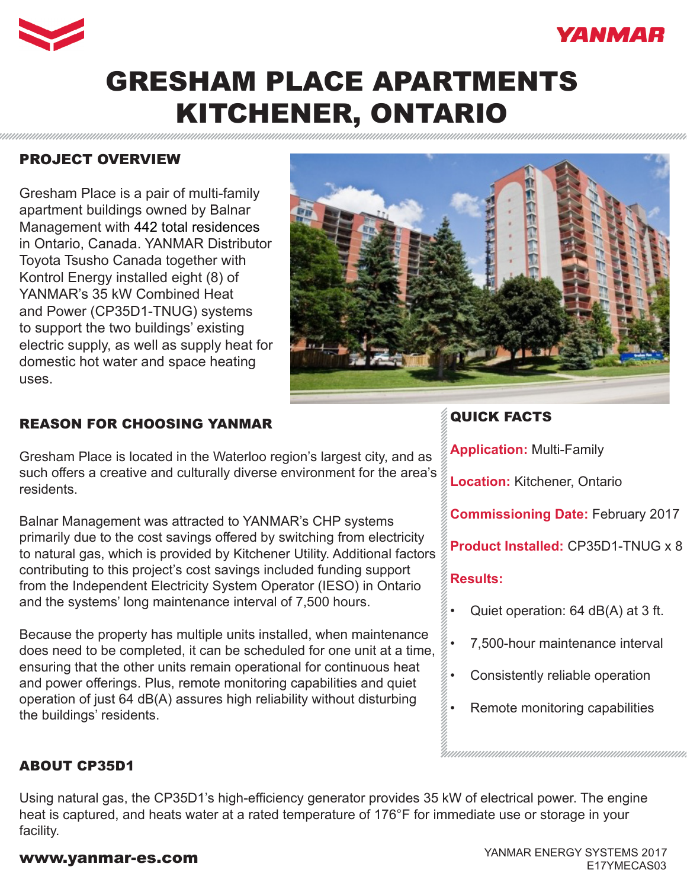



# GRESHAM PLACE APARTMENTS KITCHENER, ONTARIO

### PROJECT OVERVIEW

Gresham Place is a pair of multi-family apartment buildings owned by Balnar Management with 442 total residences in Ontario, Canada. YANMAR Distributor Toyota Tsusho Canada together with Kontrol Energy installed eight (8) of YANMAR's 35 kW Combined Heat and Power (CP35D1-TNUG) systems to support the two buildings' existing electric supply, as well as supply heat for domestic hot water and space heating uses.



### REASON FOR CHOOSING YANMAR

Gresham Place is located in the Waterloo region's largest city, and as such offers a creative and culturally diverse environment for the area's residents.

Balnar Management was attracted to YANMAR's CHP systems primarily due to the cost savings offered by switching from electricity to natural gas, which is provided by Kitchener Utility. Additional factors contributing to this project's cost savings included funding support from the Independent Electricity System Operator (IESO) in Ontario and the systems' long maintenance interval of 7,500 hours.

Because the property has multiple units installed, when maintenance does need to be completed, it can be scheduled for one unit at a time, ensuring that the other units remain operational for continuous heat and power offerings. Plus, remote monitoring capabilities and quiet operation of just 64 dB(A) assures high reliability without disturbing the buildings' residents.

### QUICK FACTS

**Application:** Multi-Family

**Location:** Kitchener, Ontario

**Commissioning Date:** February 2017

**Product Installed:** CP35D1-TNUG x 8

### **Results:**

- Quiet operation: 64 dB(A) at 3 ft.
- 7,500-hour maintenance interval
- Consistently reliable operation
- Remote monitoring capabilities

### ABOUT CP35D1

Using natural gas, the CP35D1's high-efficiency generator provides 35 kW of electrical power. The engine heat is captured, and heats water at a rated temperature of 176°F for immediate use or storage in your facility.